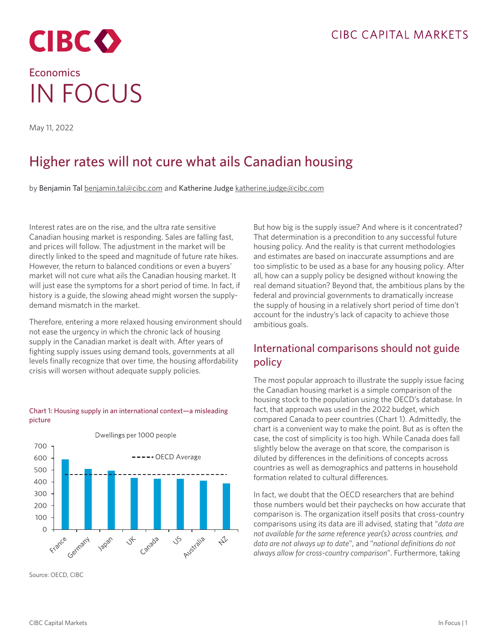

# **Economics** IN FOCUS

May 11, 2022

## Higher rates will not cure what ails Canadian housing

by Benjamin Tal [benjamin.tal@cibc.com](mailto:benjamin.tal%40cibc.com?subject=) and Katherine Judge [katherine.judge@cibc.com](mailto:katherine.judge%40cibc.com?subject=)

Interest rates are on the rise, and the ultra rate sensitive Canadian housing market is responding. Sales are falling fast, and prices will follow. The adjustment in the market will be directly linked to the speed and magnitude of future rate hikes. However, the return to balanced conditions or even a buyers' market will not cure what ails the Canadian housing market. It will just ease the symptoms for a short period of time. In fact, if history is a guide, the slowing ahead might worsen the supplydemand mismatch in the market.

Therefore, entering a more relaxed housing environment should not ease the urgency in which the chronic lack of housing supply in the Canadian market is dealt with. After years of fighting supply issues using demand tools, governments at all levels finally recognize that over time, the housing affordability crisis will worsen without adequate supply policies.

#### Chart 1: Housing supply in an international context—a misleading picture



Source: OECD, CIBC

But how big is the supply issue? And where is it concentrated? That determination is a precondition to any successful future housing policy. And the reality is that current methodologies and estimates are based on inaccurate assumptions and are too simplistic to be used as a base for any housing policy. After all, how can a supply policy be designed without knowing the real demand situation? Beyond that, the ambitious plans by the federal and provincial governments to dramatically increase the supply of housing in a relatively short period of time don't account for the industry's lack of capacity to achieve those ambitious goals.

## International comparisons should not guide policy

The most popular approach to illustrate the supply issue facing the Canadian housing market is a simple comparison of the housing stock to the population using the OECD's database. In fact, that approach was used in the 2022 budget, which compared Canada to peer countries (Chart 1). Admittedly, the chart is a convenient way to make the point. But as is often the case, the cost of simplicity is too high. While Canada does fall slightly below the average on that score, the comparison is diluted by differences in the definitions of concepts across countries as well as demographics and patterns in household formation related to cultural differences.

In fact, we doubt that the OECD researchers that are behind those numbers would bet their paychecks on how accurate that comparison is. The organization itself posits that cross-country comparisons using its data are ill advised, stating that "*data are not available for the same reference year(s) across countries, and data are not always up to date*", and "*national definitions do not always allow for cross-country comparison*". Furthermore, taking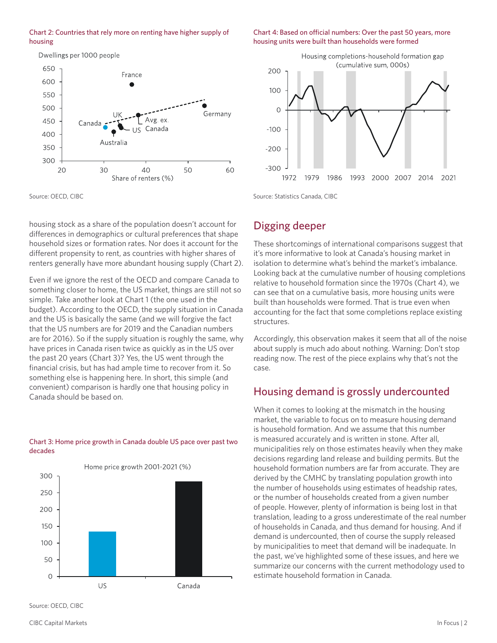#### Chart 2: Countries that rely more on renting have higher supply of housing

Dwellings per 1000 people



Source: OECD, CIBC

housing stock as a share of the population doesn't account for differences in demographics or cultural preferences that shape household sizes or formation rates. Nor does it account for the different propensity to rent, as countries with higher shares of renters generally have more abundant housing supply (Chart 2).

Even if we ignore the rest of the OECD and compare Canada to something closer to home, the US market, things are still not so simple. Take another look at Chart 1 (the one used in the budget). According to the OECD, the supply situation in Canada and the US is basically the same (and we will forgive the fact that the US numbers are for 2019 and the Canadian numbers are for 2016). So if the supply situation is roughly the same, why have prices in Canada risen twice as quickly as in the US over the past 20 years (Chart 3)? Yes, the US went through the financial crisis, but has had ample time to recover from it. So something else is happening here. In short, this simple (and convenient) comparison is hardly one that housing policy in Canada should be based on.

#### Chart 3: Home price growth in Canada double US pace over past two decades





Chart 4: Based on official numbers: Over the past 50 years, more

housing units were built than households were formed

Source: Statistics Canada, CIBC

## Digging deeper

These shortcomings of international comparisons suggest that it's more informative to look at Canada's housing market in isolation to determine what's behind the market's imbalance. Looking back at the cumulative number of housing completions relative to household formation since the 1970s (Chart 4), we can see that on a cumulative basis, more housing units were built than households were formed. That is true even when accounting for the fact that some completions replace existing structures.

Accordingly, this observation makes it seem that all of the noise about supply is much ado about nothing. Warning: Don't stop reading now. The rest of the piece explains why that's not the case.

## Housing demand is grossly undercounted

When it comes to looking at the mismatch in the housing market, the variable to focus on to measure housing demand is household formation. And we assume that this number is measured accurately and is written in stone. After all, municipalities rely on those estimates heavily when they make decisions regarding land release and building permits. But the household formation numbers are far from accurate. They are derived by the CMHC by translating population growth into the number of households using estimates of headship rates, or the number of households created from a given number of people. However, plenty of information is being lost in that translation, leading to a gross underestimate of the real number of households in Canada, and thus demand for housing. And if demand is undercounted, then of course the supply released by municipalities to meet that demand will be inadequate. In the past, we've highlighted some of these issues, and here we summarize our concerns with the current methodology used to estimate household formation in Canada.

Source: OECD, CIBC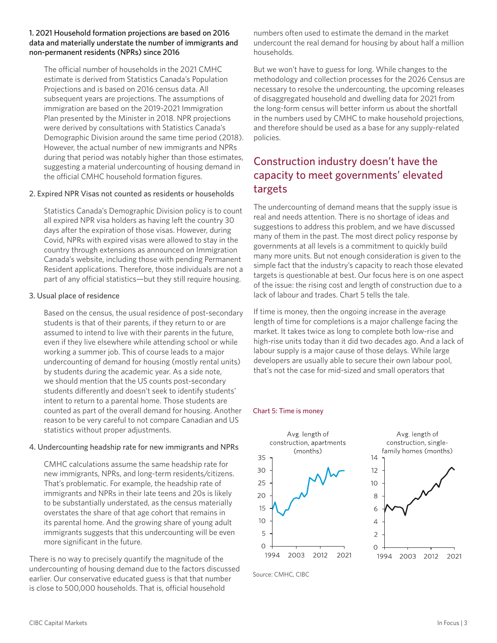#### 1. 2021 Household formation projections are based on 2016 data and materially understate the number of immigrants and non-permanent residents (NPRs) since 2016

The official number of households in the 2021 CMHC estimate is derived from Statistics Canada's Population Projections and is based on 2016 census data. All subsequent years are projections. The assumptions of immigration are based on the 2019-2021 Immigration Plan presented by the Minister in 2018. NPR projections were derived by consultations with Statistics Canada's Demographic Division around the same time period (2018). However, the actual number of new immigrants and NPRs during that period was notably higher than those estimates, suggesting a material undercounting of housing demand in the official CMHC household formation figures.

#### 2. Expired NPR Visas not counted as residents or households

Statistics Canada's Demographic Division policy is to count all expired NPR visa holders as having left the country 30 days after the expiration of those visas. However, during Covid, NPRs with expired visas were allowed to stay in the country through extensions as announced on Immigration Canada's website, including those with pending Permanent Resident applications. Therefore, those individuals are not a part of any official statistics—but they still require housing.

#### 3. Usual place of residence

Based on the census, the usual residence of post-secondary students is that of their parents, if they return to or are assumed to intend to live with their parents in the future, even if they live elsewhere while attending school or while working a summer job. This of course leads to a major undercounting of demand for housing (mostly rental units) by students during the academic year. As a side note, we should mention that the US counts post-secondary students differently and doesn't seek to identify students' intent to return to a parental home. Those students are counted as part of the overall demand for housing. Another reason to be very careful to not compare Canadian and US statistics without proper adjustments.

#### 4. Undercounting headship rate for new immigrants and NPRs

CMHC calculations assume the same headship rate for new immigrants, NPRs, and long-term residents/citizens. That's problematic. For example, the headship rate of immigrants and NPRs in their late teens and 20s is likely to be substantially understated, as the census materially overstates the share of that age cohort that remains in its parental home. And the growing share of young adult immigrants suggests that this undercounting will be even more significant in the future.

There is no way to precisely quantify the magnitude of the undercounting of housing demand due to the factors discussed earlier. Our conservative educated guess is that that number is close to 500,000 households. That is, official household

numbers often used to estimate the demand in the market undercount the real demand for housing by about half a million households.

But we won't have to guess for long. While changes to the methodology and collection processes for the 2026 Census are necessary to resolve the undercounting, the upcoming releases of disaggregated household and dwelling data for 2021 from the long-form census will better inform us about the shortfall in the numbers used by CMHC to make household projections, and therefore should be used as a base for any supply-related policies.

## Construction industry doesn't have the capacity to meet governments' elevated targets

The undercounting of demand means that the supply issue is real and needs attention. There is no shortage of ideas and suggestions to address this problem, and we have discussed many of them in the past. The most direct policy response by governments at all levels is a commitment to quickly build many more units. But not enough consideration is given to the simple fact that the industry's capacity to reach those elevated targets is questionable at best. Our focus here is on one aspect of the issue: the rising cost and length of construction due to a lack of labour and trades. Chart 5 tells the tale.

If time is money, then the ongoing increase in the average length of time for completions is a major challenge facing the market. It takes twice as long to complete both low-rise and high-rise units today than it did two decades ago. And a lack of labour supply is a major cause of those delays. While large developers are usually able to secure their own labour pool, that's not the case for mid-sized and small operators that

#### Chart 5: Time is money



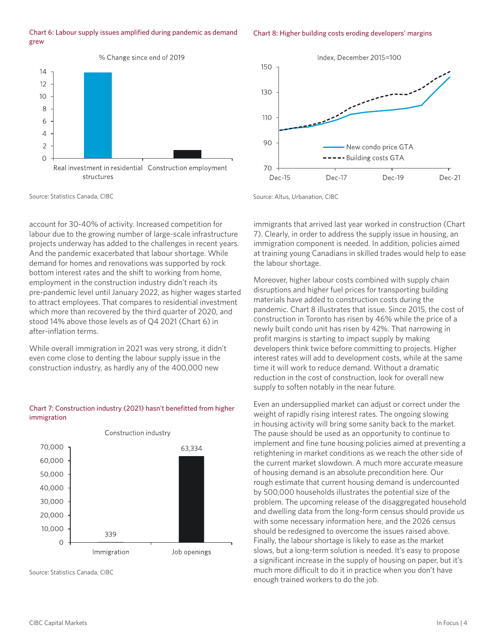#### Chart 6: Labour supply issues amplified during pandemic as demand grew

#### % Change since end of 2019  $14$  $12$ 10 8 6  $\overline{4}$  $\overline{2}$  $\overline{O}$ Real investment in residential Construction employment structures



Source: Statistics Canada, CIBC

account for 30-40% of activity. Increased competition for labour due to the growing number of large-scale infrastructure projects underway has added to the challenges in recent years. And the pandemic exacerbated that labour shortage. While demand for homes and renovations was supported by rock bottom interest rates and the shift to working from home, employment in the construction industry didn't reach its pre-pandemic level until January 2022, as higher wages started to attract employees. That compares to residential investment which more than recovered by the third quarter of 2020, and stood 14% above those levels as of Q4 2021 (Chart 6) in after-inflation terms.

While overall immigration in 2021 was very strong, it didn't even come close to denting the labour supply issue in the construction industry, as hardly any of the 400,000 new

#### Chart 7: Construction industry (2021) hasn't benefitted from higher immigration



Source: Statistics Canada, CIBC

Source: Altus, Urbanation, CIBC

130

110

90

 $70$ 

**Dec-15** 

immigrants that arrived last year worked in construction (Chart 7). Clearly, in order to address the supply issue in housing, an immigration component is needed. In addition, policies aimed at training young Canadians in skilled trades would help to ease the labour shortage.

New condo price GTA

Dec-19

Dec-21

----- Building costs GTA

Dec-17

Moreover, higher labour costs combined with supply chain disruptions and higher fuel prices for transporting building materials have added to construction costs during the pandemic. Chart 8 illustrates that issue. Since 2015, the cost of construction in Toronto has risen by 46% while the price of a newly built condo unit has risen by 42%. That narrowing in profit margins is starting to impact supply by making developers think twice before committing to projects. Higher interest rates will add to development costs, while at the same time it will work to reduce demand. Without a dramatic reduction in the cost of construction, look for overall new supply to soften notably in the near future.

Even an undersupplied market can adjust or correct under the weight of rapidly rising interest rates. The ongoing slowing in housing activity will bring some sanity back to the market. The pause should be used as an opportunity to continue to implement and fine tune housing policies aimed at preventing a retightening in market conditions as we reach the other side of the current market slowdown. A much more accurate measure of housing demand is an absolute precondition here. Our rough estimate that current housing demand is undercounted by 500,000 households illustrates the potential size of the problem. The upcoming release of the disaggregated household and dwelling data from the long-form census should provide us with some necessary information here, and the 2026 census should be redesigned to overcome the issues raised above. Finally, the labour shortage is likely to ease as the market slows, but a long-term solution is needed. It's easy to propose a significant increase in the supply of housing on paper, but it's much more difficult to do it in practice when you don't have enough trained workers to do the job.